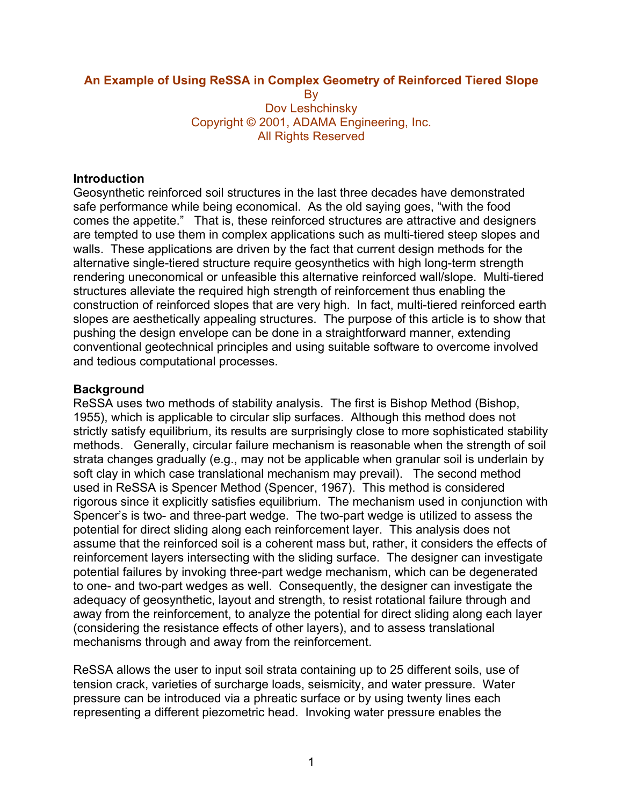## **An Example of Using ReSSA in Complex Geometry of Reinforced Tiered Slope**

**B**<sub>v</sub> Dov Leshchinsky Copyright © 2001, ADAMA Engineering, Inc. All Rights Reserved

#### **Introduction**

Geosynthetic reinforced soil structures in the last three decades have demonstrated safe performance while being economical. As the old saying goes, "with the food comes the appetite." That is, these reinforced structures are attractive and designers are tempted to use them in complex applications such as multi-tiered steep slopes and walls. These applications are driven by the fact that current design methods for the alternative single-tiered structure require geosynthetics with high long-term strength rendering uneconomical or unfeasible this alternative reinforced wall/slope. Multi-tiered structures alleviate the required high strength of reinforcement thus enabling the construction of reinforced slopes that are very high. In fact, multi-tiered reinforced earth slopes are aesthetically appealing structures. The purpose of this article is to show that pushing the design envelope can be done in a straightforward manner, extending conventional geotechnical principles and using suitable software to overcome involved and tedious computational processes.

#### **Background**

ReSSA uses two methods of stability analysis. The first is Bishop Method (Bishop, 1955), which is applicable to circular slip surfaces. Although this method does not strictly satisfy equilibrium, its results are surprisingly close to more sophisticated stability methods. Generally, circular failure mechanism is reasonable when the strength of soil strata changes gradually (e.g., may not be applicable when granular soil is underlain by soft clay in which case translational mechanism may prevail). The second method used in ReSSA is Spencer Method (Spencer, 1967). This method is considered rigorous since it explicitly satisfies equilibrium. The mechanism used in conjunction with Spencer's is two- and three-part wedge. The two-part wedge is utilized to assess the potential for direct sliding along each reinforcement layer. This analysis does not assume that the reinforced soil is a coherent mass but, rather, it considers the effects of reinforcement layers intersecting with the sliding surface. The designer can investigate potential failures by invoking three-part wedge mechanism, which can be degenerated to one- and two-part wedges as well. Consequently, the designer can investigate the adequacy of geosynthetic, layout and strength, to resist rotational failure through and away from the reinforcement, to analyze the potential for direct sliding along each layer (considering the resistance effects of other layers), and to assess translational mechanisms through and away from the reinforcement.

ReSSA allows the user to input soil strata containing up to 25 different soils, use of tension crack, varieties of surcharge loads, seismicity, and water pressure. Water pressure can be introduced via a phreatic surface or by using twenty lines each representing a different piezometric head. Invoking water pressure enables the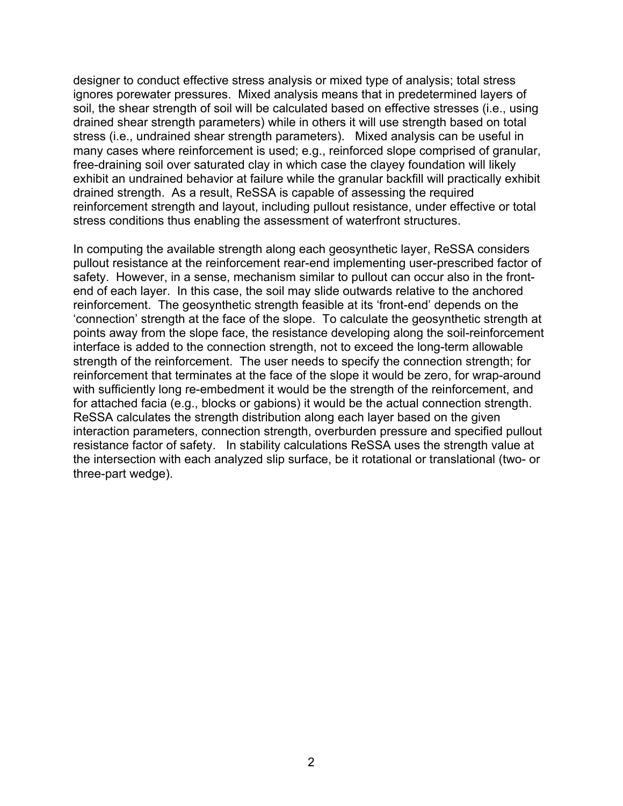designer to conduct effective stress analysis or mixed type of analysis; total stress ignores porewater pressures. Mixed analysis means that in predetermined layers of soil, the shear strength of soil will be calculated based on effective stresses (i.e., using drained shear strength parameters) while in others it will use strength based on total stress (i.e., undrained shear strength parameters). Mixed analysis can be useful in many cases where reinforcement is used; e.g., reinforced slope comprised of granular, free-draining soil over saturated clay in which case the clayey foundation will likely exhibit an undrained behavior at failure while the granular backfill will practically exhibit drained strength. As a result, ReSSA is capable of assessing the required reinforcement strength and layout, including pullout resistance, under effective or total stress conditions thus enabling the assessment of waterfront structures.

In computing the available strength along each geosynthetic layer, ReSSA considers pullout resistance at the reinforcement rear-end implementing user-prescribed factor of safety. However, in a sense, mechanism similar to pullout can occur also in the frontend of each layer. In this case, the soil may slide outwards relative to the anchored reinforcement. The geosynthetic strength feasible at its 'front-end' depends on the 'connection' strength at the face of the slope. To calculate the geosynthetic strength at points away from the slope face, the resistance developing along the soil-reinforcement interface is added to the connection strength, not to exceed the long-term allowable strength of the reinforcement. The user needs to specify the connection strength; for reinforcement that terminates at the face of the slope it would be zero, for wrap-around with sufficiently long re-embedment it would be the strength of the reinforcement, and for attached facia (e.g., blocks or gabions) it would be the actual connection strength. ReSSA calculates the strength distribution along each layer based on the given interaction parameters, connection strength, overburden pressure and specified pullout resistance factor of safety. In stability calculations ReSSA uses the strength value at the intersection with each analyzed slip surface, be it rotational or translational (two- or three-part wedge).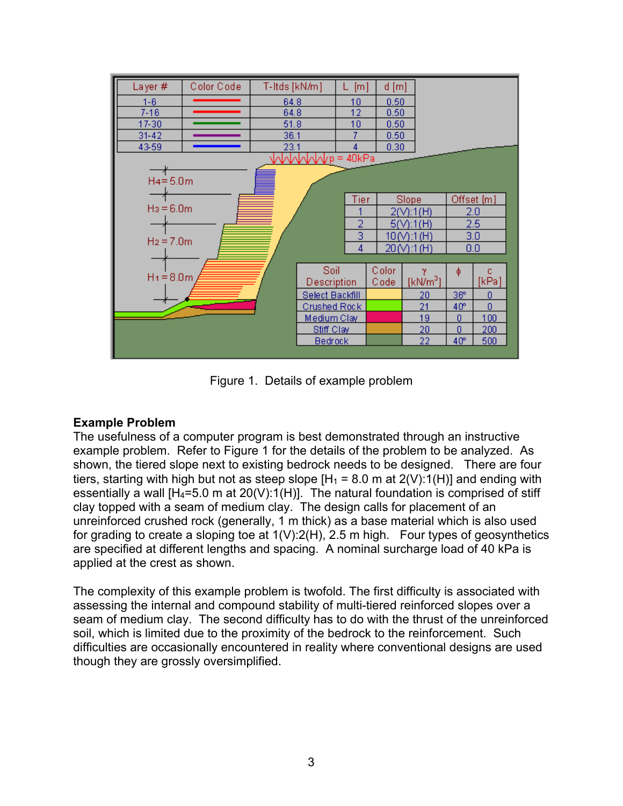| Layer#         | Color Code   | T-Itds [kN/m]   |                | [m] | d[m]         |               |                 |                |  |  |  |  |
|----------------|--------------|-----------------|----------------|-----|--------------|---------------|-----------------|----------------|--|--|--|--|
| $1 - 6$        |              | 64.8            |                | 10  | 0.50         |               |                 |                |  |  |  |  |
| $7 - 16$       |              | 64.8            |                | 12  | 0.50         |               |                 |                |  |  |  |  |
| 17-30          |              | 51.8            |                | 10  | 0.50         |               |                 |                |  |  |  |  |
| $31 - 42$      |              | 36.1            |                |     | 0.50         |               |                 |                |  |  |  |  |
| 43-59          |              | 23.1            |                | 4   | 0.30         |               |                 |                |  |  |  |  |
| MMMM/p = 40kPa |              |                 |                |     |              |               |                 |                |  |  |  |  |
| $H4 = 5.0m$    |              |                 |                |     |              |               |                 |                |  |  |  |  |
|                |              |                 | <b>Tier</b>    |     | <b>Slope</b> | Offset [m]    |                 |                |  |  |  |  |
| $H_3 = 6.0m$   |              |                 |                |     | 2(V):1(H)    | 2.0           |                 |                |  |  |  |  |
|                |              |                 |                | 2   |              | 5(V):1(H)     | 2.5             |                |  |  |  |  |
| $H_2 = 7.0m$   |              |                 |                | 3   |              | $10(N)$ :1(H) | 3.0             |                |  |  |  |  |
|                |              |                 |                |     |              | $20(N)$ :1(H) | 0.0             |                |  |  |  |  |
|                |              |                 |                | 4   |              |               |                 |                |  |  |  |  |
|                |              |                 | Soil           |     | Color        | v.            | φ               | c              |  |  |  |  |
|                | $H_1 = 8.0m$ |                 | Description    |     | Code         | [kN/m $^3$ ]  |                 | [kPa]          |  |  |  |  |
|                |              | Select Backfill |                |     | 20           | $36^\circ$    | 0               |                |  |  |  |  |
|                |              |                 | Crushed Rock   |     |              | 21            | 40 <sup>o</sup> | $\overline{0}$ |  |  |  |  |
|                |              | Medium Clay     |                |     | 19           | 0             | 100             |                |  |  |  |  |
|                |              |                 | Stiff Clay     |     |              | 20            | 0               | 200            |  |  |  |  |
|                |              |                 | <b>Bedrock</b> |     |              | 22            | $40^\circ$      | 500            |  |  |  |  |
|                |              |                 |                |     |              |               |                 |                |  |  |  |  |

Figure 1. Details of example problem

## **Example Problem**

The usefulness of a computer program is best demonstrated through an instructive example problem. Refer to Figure 1 for the details of the problem to be analyzed. As shown, the tiered slope next to existing bedrock needs to be designed. There are four tiers, starting with high but not as steep slope  $[H_1 = 8.0 \text{ m at } 2(V):1(H)]$  and ending with essentially a wall  $[H_4=5.0 \text{ m}$  at 20(V):1(H)]. The natural foundation is comprised of stiff clay topped with a seam of medium clay. The design calls for placement of an unreinforced crushed rock (generally, 1 m thick) as a base material which is also used for grading to create a sloping toe at  $1(V):2(H)$ , 2.5 m high. Four types of geosynthetics are specified at different lengths and spacing. A nominal surcharge load of 40 kPa is applied at the crest as shown.

The complexity of this example problem is twofold. The first difficulty is associated with assessing the internal and compound stability of multi-tiered reinforced slopes over a seam of medium clay. The second difficulty has to do with the thrust of the unreinforced soil, which is limited due to the proximity of the bedrock to the reinforcement. Such difficulties are occasionally encountered in reality where conventional designs are used though they are grossly oversimplified.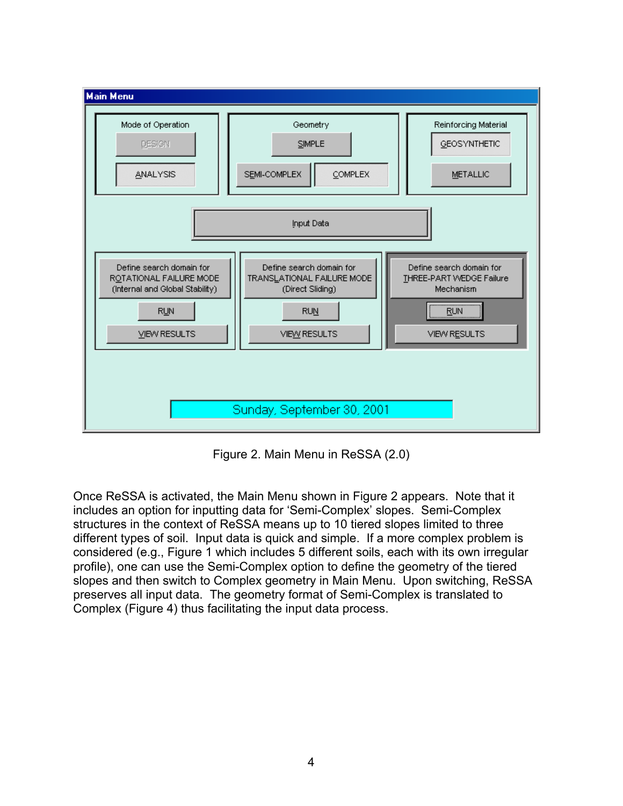

Figure 2. Main Menu in ReSSA (2.0)

Once ReSSA is activated, the Main Menu shown in Figure 2 appears. Note that it includes an option for inputting data for 'Semi-Complex' slopes. Semi-Complex structures in the context of ReSSA means up to 10 tiered slopes limited to three different types of soil. Input data is quick and simple. If a more complex problem is considered (e.g., Figure 1 which includes 5 different soils, each with its own irregular profile), one can use the Semi-Complex option to define the geometry of the tiered slopes and then switch to Complex geometry in Main Menu. Upon switching, ReSSA preserves all input data. The geometry format of Semi-Complex is translated to Complex (Figure 4) thus facilitating the input data process.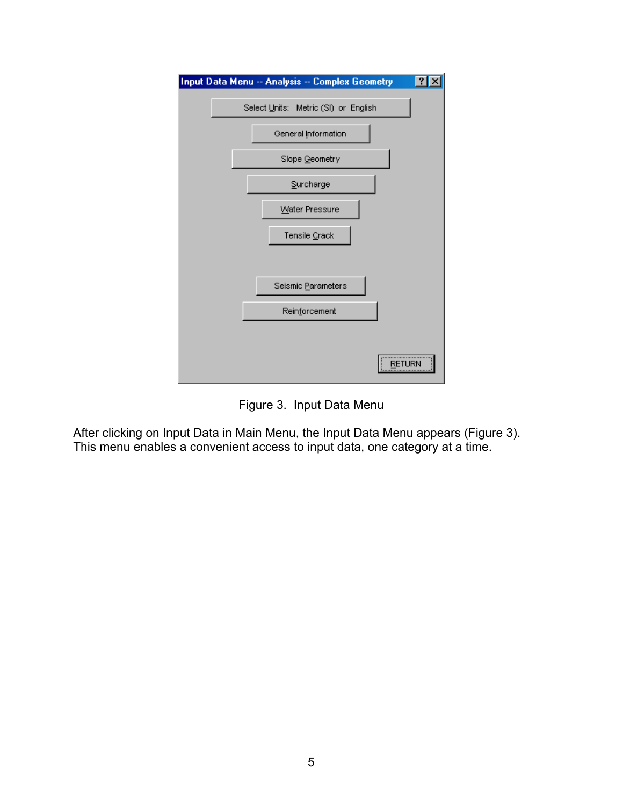

Figure 3. Input Data Menu

After clicking on Input Data in Main Menu, the Input Data Menu appears (Figure 3). This menu enables a convenient access to input data, one category at a time.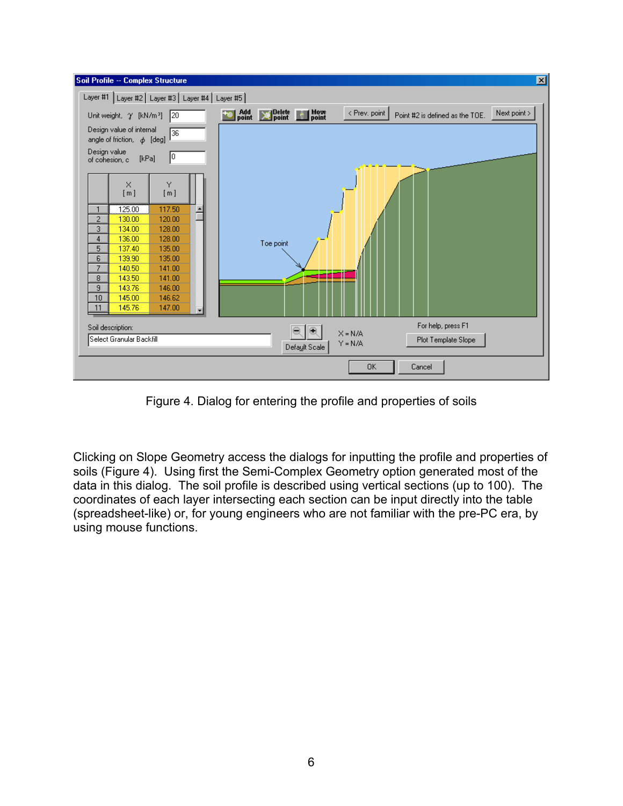

Figure 4. Dialog for entering the profile and properties of soils

Clicking on Slope Geometry access the dialogs for inputting the profile and properties of soils (Figure 4). Using first the Semi-Complex Geometry option generated most of the data in this dialog. The soil profile is described using vertical sections (up to 100). The coordinates of each layer intersecting each section can be input directly into the table (spreadsheet-like) or, for young engineers who are not familiar with the pre-PC era, by using mouse functions.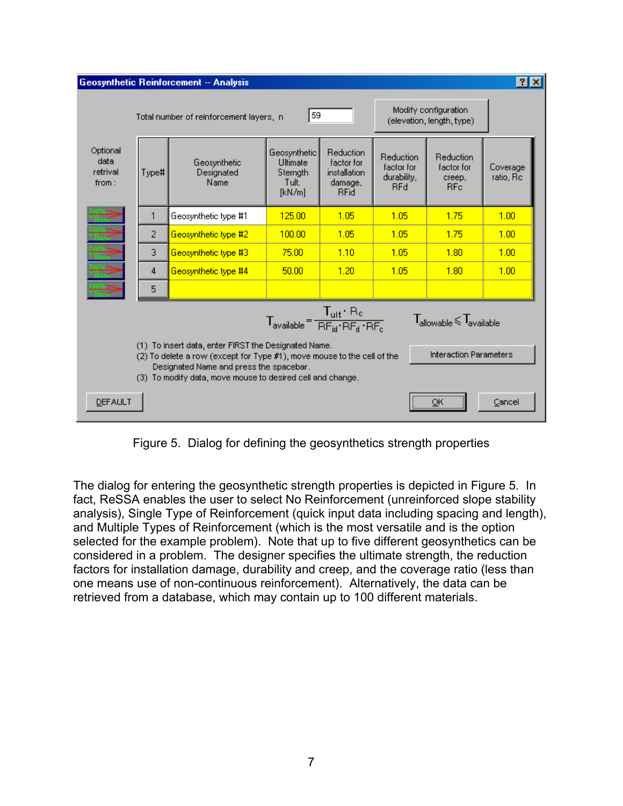| $ ?  \times$<br>Geosynthetic Reinforcement -- Analysis                                                                                                                                                                                                                    |       |                                         |                                                         |                                                                   |                                                      |                                                      |                       |  |  |  |  |  |
|---------------------------------------------------------------------------------------------------------------------------------------------------------------------------------------------------------------------------------------------------------------------------|-------|-----------------------------------------|---------------------------------------------------------|-------------------------------------------------------------------|------------------------------------------------------|------------------------------------------------------|-----------------------|--|--|--|--|--|
|                                                                                                                                                                                                                                                                           |       | Total number of reinforcement layers, n | Modify configuration<br>(elevation, length, type)       |                                                                   |                                                      |                                                      |                       |  |  |  |  |  |
| Optional<br>data<br>retrival<br>from:                                                                                                                                                                                                                                     | Type# | Geosynthetic<br>Designated<br>Name      | Geosynthetic<br>Ultimate<br>Sternath<br>Tult.<br>[kN/m] | Reduction<br>factor for<br>installation<br>damage,<br><b>RFid</b> | Reduction<br>factor for<br>durability,<br><b>RFd</b> | Reduction<br>factor for<br>creep,<br>RF <sub>c</sub> | Coverage<br>ratio, Rc |  |  |  |  |  |
| ¢                                                                                                                                                                                                                                                                         | 1     | Geosynthetic type #1                    | 125.00                                                  | 1.05                                                              | 1.05                                                 | 1.75                                                 | 1.00                  |  |  |  |  |  |
| Data<br>Data<br>Data<br>Data<br>Data<br>Data                                                                                                                                                                                                                              | 2     | Geosynthetic type #2                    | 100.00                                                  | 1.05                                                              | 1.05                                                 | 1.75                                                 | 1.00                  |  |  |  |  |  |
|                                                                                                                                                                                                                                                                           | 3     | Geosynthetic type #3                    | 75.00                                                   | 1.10                                                              | 1.05                                                 | 1.80                                                 | 1.00                  |  |  |  |  |  |
|                                                                                                                                                                                                                                                                           | 4     | Geosynthetic type #4                    | 50.00                                                   | 1.20                                                              | 1.05                                                 | 1.80                                                 | 1.00                  |  |  |  |  |  |
|                                                                                                                                                                                                                                                                           | 5     |                                         |                                                         |                                                                   |                                                      |                                                      |                       |  |  |  |  |  |
| $T_{\text{available}} = \frac{T_{\text{ult}} \cdot R_{\text{c}}}{R F_{\text{td}} \cdot R F_{\text{d}} \cdot R F_{\text{c}}}$<br>${\mathsf T}_{\text{\rm allowable}}{\leqslant}{\mathsf T}_{\text{\rm available}}$                                                         |       |                                         |                                                         |                                                                   |                                                      |                                                      |                       |  |  |  |  |  |
| (1) To insert data, enter FIRST the Designated Name.<br><b>Interaction Parameters</b><br>(2) To delete a row (except for Type #1), move mouse to the cell of the<br>Designated Name and press the spacebar.<br>(3) To modify data, move mouse to desired cell and change. |       |                                         |                                                         |                                                                   |                                                      |                                                      |                       |  |  |  |  |  |
| <b>DEFAULT</b>                                                                                                                                                                                                                                                            |       |                                         |                                                         |                                                                   |                                                      | <br>ОК                                               | Cancel                |  |  |  |  |  |

Figure 5. Dialog for defining the geosynthetics strength properties

The dialog for entering the geosynthetic strength properties is depicted in Figure 5. In fact, ReSSA enables the user to select No Reinforcement (unreinforced slope stability analysis), Single Type of Reinforcement (quick input data including spacing and length), and Multiple Types of Reinforcement (which is the most versatile and is the option selected for the example problem). Note that up to five different geosynthetics can be considered in a problem. The designer specifies the ultimate strength, the reduction factors for installation damage, durability and creep, and the coverage ratio (less than one means use of non-continuous reinforcement). Alternatively, the data can be retrieved from a database, which may contain up to 100 different materials.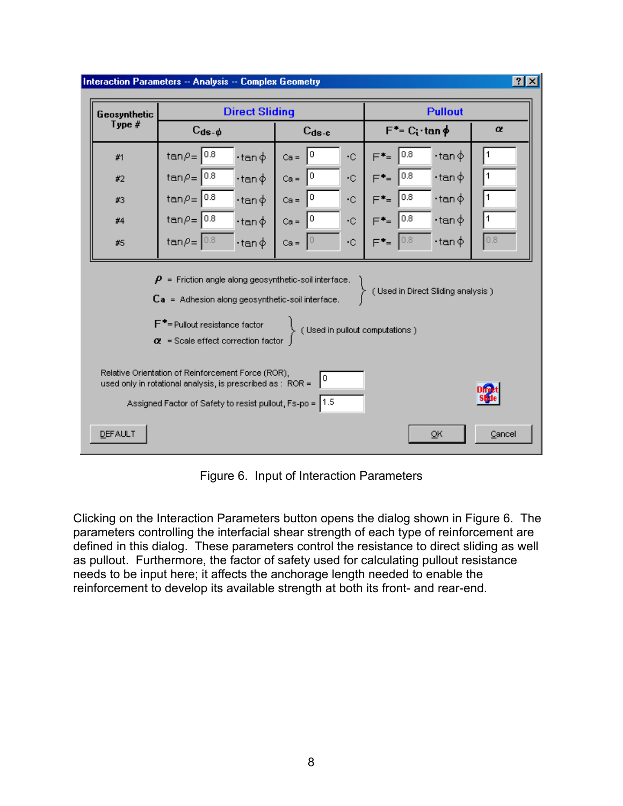

Figure 6. Input of Interaction Parameters

Clicking on the Interaction Parameters button opens the dialog shown in Figure 6. The parameters controlling the interfacial shear strength of each type of reinforcement are defined in this dialog. These parameters control the resistance to direct sliding as well as pullout. Furthermore, the factor of safety used for calculating pullout resistance needs to be input here; it affects the anchorage length needed to enable the reinforcement to develop its available strength at both its front- and rear-end.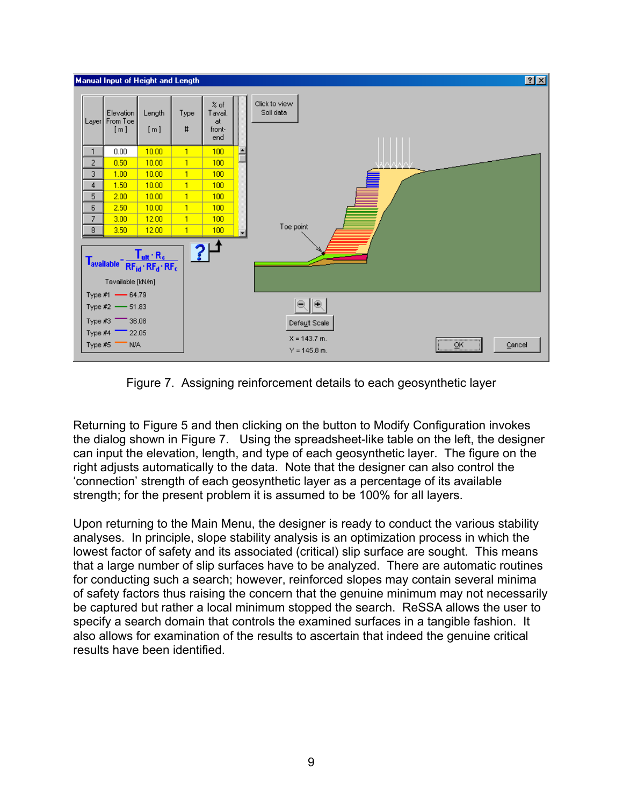

Figure 7. Assigning reinforcement details to each geosynthetic layer

Returning to Figure 5 and then clicking on the button to Modify Configuration invokes the dialog shown in Figure 7. Using the spreadsheet-like table on the left, the designer can input the elevation, length, and type of each geosynthetic layer. The figure on the right adjusts automatically to the data. Note that the designer can also control the 'connection' strength of each geosynthetic layer as a percentage of its available strength; for the present problem it is assumed to be 100% for all layers.

Upon returning to the Main Menu, the designer is ready to conduct the various stability analyses. In principle, slope stability analysis is an optimization process in which the lowest factor of safety and its associated (critical) slip surface are sought. This means that a large number of slip surfaces have to be analyzed. There are automatic routines for conducting such a search; however, reinforced slopes may contain several minima of safety factors thus raising the concern that the genuine minimum may not necessarily be captured but rather a local minimum stopped the search. ReSSA allows the user to specify a search domain that controls the examined surfaces in a tangible fashion. It also allows for examination of the results to ascertain that indeed the genuine critical results have been identified.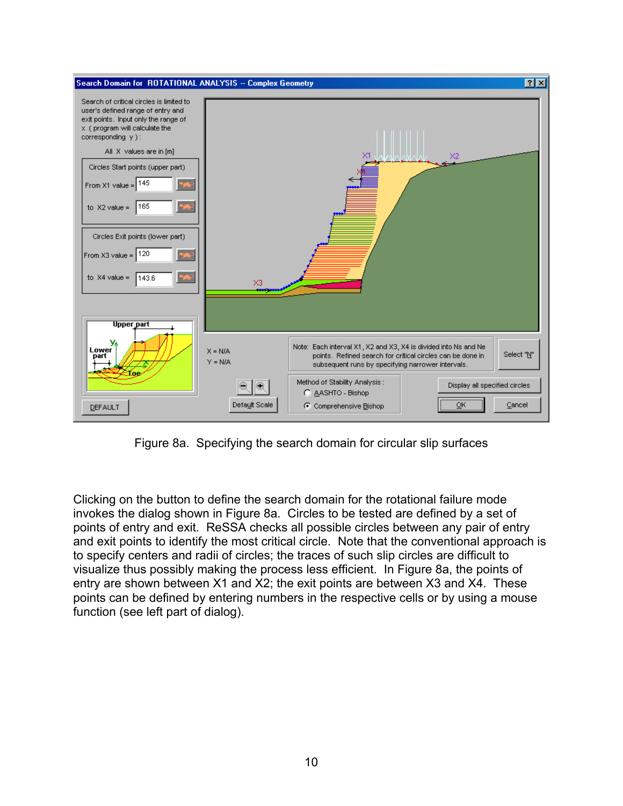

Figure 8a. Specifying the search domain for circular slip surfaces

Clicking on the button to define the search domain for the rotational failure mode invokes the dialog shown in Figure 8a. Circles to be tested are defined by a set of points of entry and exit. ReSSA checks all possible circles between any pair of entry and exit points to identify the most critical circle. Note that the conventional approach is to specify centers and radii of circles; the traces of such slip circles are difficult to visualize thus possibly making the process less efficient. In Figure 8a, the points of entry are shown between X1 and X2; the exit points are between X3 and X4. These points can be defined by entering numbers in the respective cells or by using a mouse function (see left part of dialog).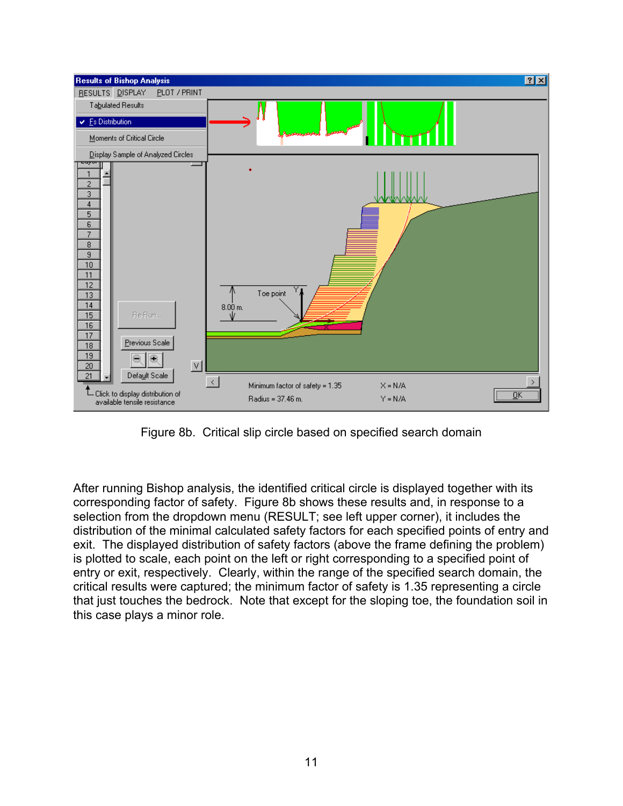

Figure 8b. Critical slip circle based on specified search domain

After running Bishop analysis, the identified critical circle is displayed together with its corresponding factor of safety. Figure 8b shows these results and, in response to a selection from the dropdown menu (RESULT; see left upper corner), it includes the distribution of the minimal calculated safety factors for each specified points of entry and exit. The displayed distribution of safety factors (above the frame defining the problem) is plotted to scale, each point on the left or right corresponding to a specified point of entry or exit, respectively. Clearly, within the range of the specified search domain, the critical results were captured; the minimum factor of safety is 1.35 representing a circle that just touches the bedrock. Note that except for the sloping toe, the foundation soil in this case plays a minor role.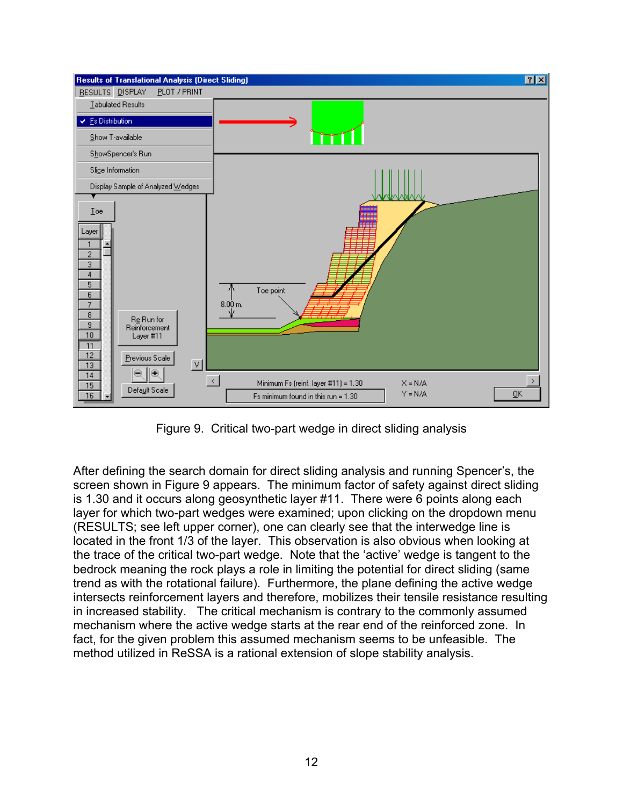

Figure 9. Critical two-part wedge in direct sliding analysis

After defining the search domain for direct sliding analysis and running Spencer's, the screen shown in Figure 9 appears. The minimum factor of safety against direct sliding is 1.30 and it occurs along geosynthetic layer #11. There were 6 points along each layer for which two-part wedges were examined; upon clicking on the dropdown menu (RESULTS; see left upper corner), one can clearly see that the interwedge line is located in the front 1/3 of the layer. This observation is also obvious when looking at the trace of the critical two-part wedge. Note that the 'active' wedge is tangent to the bedrock meaning the rock plays a role in limiting the potential for direct sliding (same trend as with the rotational failure). Furthermore, the plane defining the active wedge intersects reinforcement layers and therefore, mobilizes their tensile resistance resulting in increased stability. The critical mechanism is contrary to the commonly assumed mechanism where the active wedge starts at the rear end of the reinforced zone. In fact, for the given problem this assumed mechanism seems to be unfeasible. The method utilized in ReSSA is a rational extension of slope stability analysis.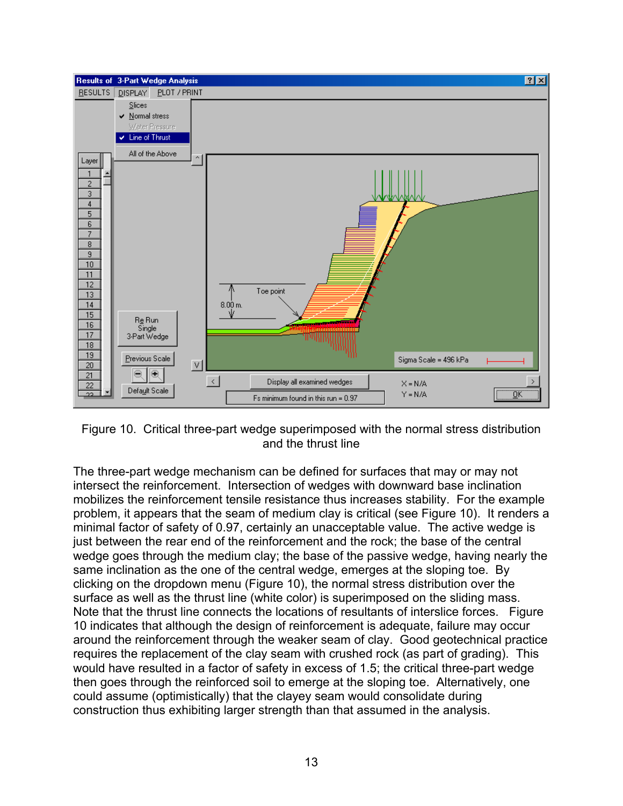

Figure 10. Critical three-part wedge superimposed with the normal stress distribution and the thrust line

The three-part wedge mechanism can be defined for surfaces that may or may not intersect the reinforcement. Intersection of wedges with downward base inclination mobilizes the reinforcement tensile resistance thus increases stability. For the example problem, it appears that the seam of medium clay is critical (see Figure 10). It renders a minimal factor of safety of 0.97, certainly an unacceptable value. The active wedge is just between the rear end of the reinforcement and the rock; the base of the central wedge goes through the medium clay; the base of the passive wedge, having nearly the same inclination as the one of the central wedge, emerges at the sloping toe. By clicking on the dropdown menu (Figure 10), the normal stress distribution over the surface as well as the thrust line (white color) is superimposed on the sliding mass. Note that the thrust line connects the locations of resultants of interslice forces. Figure 10 indicates that although the design of reinforcement is adequate, failure may occur around the reinforcement through the weaker seam of clay. Good geotechnical practice requires the replacement of the clay seam with crushed rock (as part of grading). This would have resulted in a factor of safety in excess of 1.5; the critical three-part wedge then goes through the reinforced soil to emerge at the sloping toe. Alternatively, one could assume (optimistically) that the clayey seam would consolidate during construction thus exhibiting larger strength than that assumed in the analysis.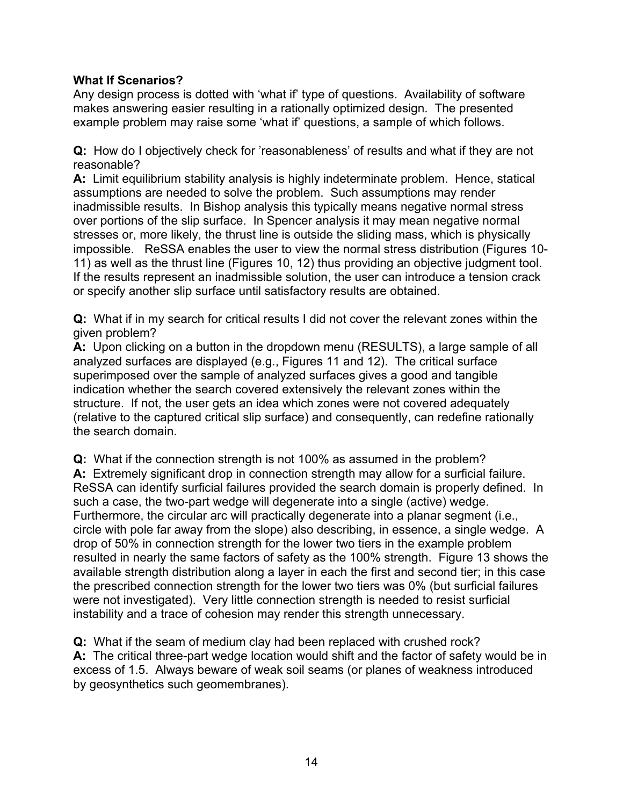## **What If Scenarios?**

Any design process is dotted with 'what if' type of questions. Availability of software makes answering easier resulting in a rationally optimized design. The presented example problem may raise some 'what if' questions, a sample of which follows.

**Q:** How do I objectively check for 'reasonableness' of results and what if they are not reasonable?

**A:** Limit equilibrium stability analysis is highly indeterminate problem. Hence, statical assumptions are needed to solve the problem. Such assumptions may render inadmissible results. In Bishop analysis this typically means negative normal stress over portions of the slip surface. In Spencer analysis it may mean negative normal stresses or, more likely, the thrust line is outside the sliding mass, which is physically impossible. ReSSA enables the user to view the normal stress distribution (Figures 10- 11) as well as the thrust line (Figures 10, 12) thus providing an objective judgment tool. If the results represent an inadmissible solution, the user can introduce a tension crack or specify another slip surface until satisfactory results are obtained.

**Q:** What if in my search for critical results I did not cover the relevant zones within the given problem?

**A:** Upon clicking on a button in the dropdown menu (RESULTS), a large sample of all analyzed surfaces are displayed (e.g., Figures 11 and 12). The critical surface superimposed over the sample of analyzed surfaces gives a good and tangible indication whether the search covered extensively the relevant zones within the structure. If not, the user gets an idea which zones were not covered adequately (relative to the captured critical slip surface) and consequently, can redefine rationally the search domain.

**Q:** What if the connection strength is not 100% as assumed in the problem? **A:** Extremely significant drop in connection strength may allow for a surficial failure. ReSSA can identify surficial failures provided the search domain is properly defined. In such a case, the two-part wedge will degenerate into a single (active) wedge. Furthermore, the circular arc will practically degenerate into a planar segment (i.e., circle with pole far away from the slope) also describing, in essence, a single wedge. A drop of 50% in connection strength for the lower two tiers in the example problem resulted in nearly the same factors of safety as the 100% strength. Figure 13 shows the available strength distribution along a layer in each the first and second tier; in this case the prescribed connection strength for the lower two tiers was 0% (but surficial failures were not investigated). Very little connection strength is needed to resist surficial instability and a trace of cohesion may render this strength unnecessary.

**Q:** What if the seam of medium clay had been replaced with crushed rock? **A:** The critical three-part wedge location would shift and the factor of safety would be in excess of 1.5. Always beware of weak soil seams (or planes of weakness introduced by geosynthetics such geomembranes).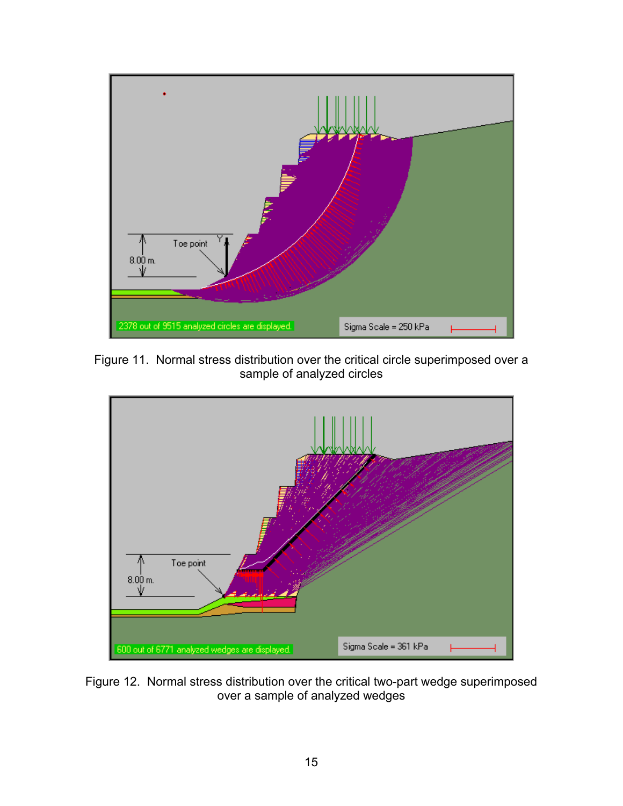

Figure 11. Normal stress distribution over the critical circle superimposed over a sample of analyzed circles



Figure 12. Normal stress distribution over the critical two-part wedge superimposed over a sample of analyzed wedges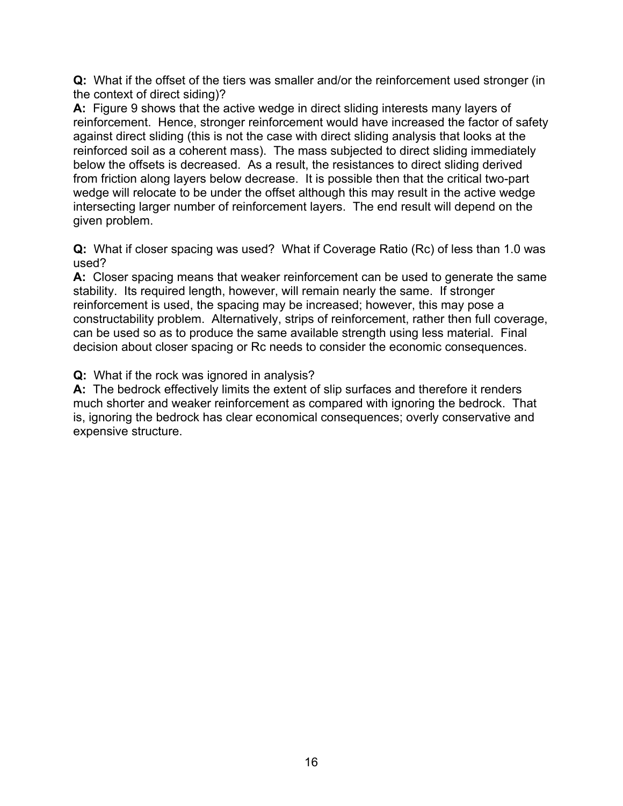**Q:** What if the offset of the tiers was smaller and/or the reinforcement used stronger (in the context of direct siding)?

**A:** Figure 9 shows that the active wedge in direct sliding interests many layers of reinforcement. Hence, stronger reinforcement would have increased the factor of safety against direct sliding (this is not the case with direct sliding analysis that looks at the reinforced soil as a coherent mass). The mass subjected to direct sliding immediately below the offsets is decreased. As a result, the resistances to direct sliding derived from friction along layers below decrease. It is possible then that the critical two-part wedge will relocate to be under the offset although this may result in the active wedge intersecting larger number of reinforcement layers. The end result will depend on the given problem.

**Q:** What if closer spacing was used? What if Coverage Ratio (Rc) of less than 1.0 was used?

**A:** Closer spacing means that weaker reinforcement can be used to generate the same stability. Its required length, however, will remain nearly the same. If stronger reinforcement is used, the spacing may be increased; however, this may pose a constructability problem. Alternatively, strips of reinforcement, rather then full coverage, can be used so as to produce the same available strength using less material. Final decision about closer spacing or Rc needs to consider the economic consequences.

**Q:** What if the rock was ignored in analysis?

**A:** The bedrock effectively limits the extent of slip surfaces and therefore it renders much shorter and weaker reinforcement as compared with ignoring the bedrock. That is, ignoring the bedrock has clear economical consequences; overly conservative and expensive structure.